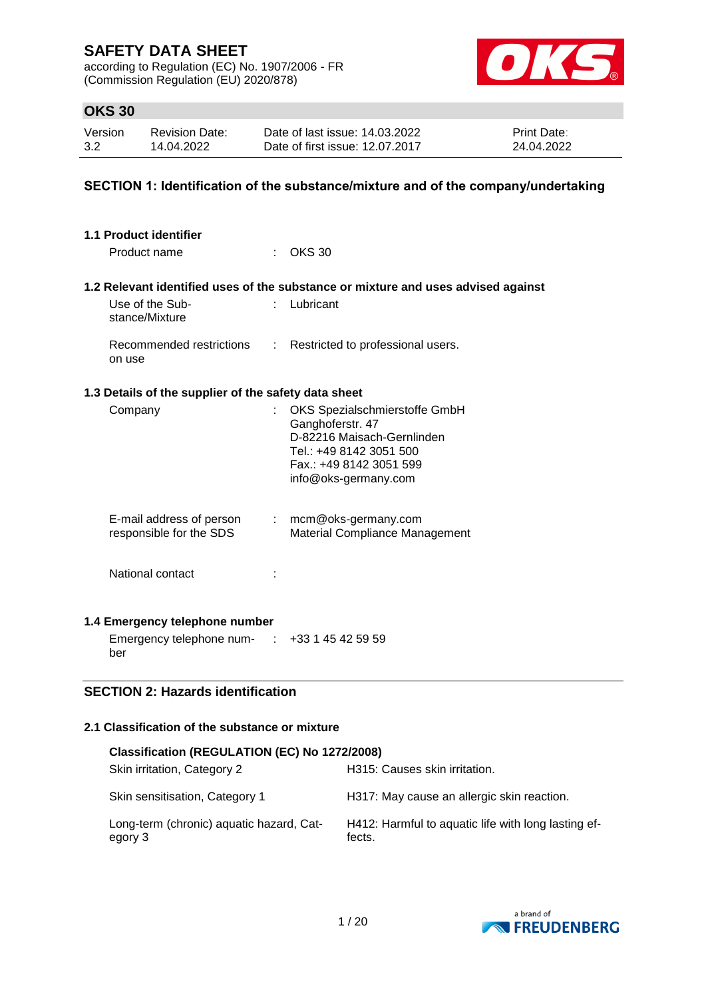according to Regulation (EC) No. 1907/2006 - FR (Commission Regulation (EU) 2020/878)



# **OKS 30**

| Version | <b>Revision Date:</b> | Date of last issue: 14.03.2022  | <b>Print Date:</b> |
|---------|-----------------------|---------------------------------|--------------------|
| 3.2     | 14.04.2022            | Date of first issue: 12.07.2017 | 24.04.2022         |

### **SECTION 1: Identification of the substance/mixture and of the company/undertaking**

| 1.1 Product identifier<br>Product name               | <b>OKS 30</b>                                                                                                                                                 |
|------------------------------------------------------|---------------------------------------------------------------------------------------------------------------------------------------------------------------|
|                                                      |                                                                                                                                                               |
|                                                      | 1.2 Relevant identified uses of the substance or mixture and uses advised against                                                                             |
| Use of the Sub-<br>stance/Mixture                    | Lubricant                                                                                                                                                     |
| Recommended restrictions<br>on use                   | : Restricted to professional users.                                                                                                                           |
| 1.3 Details of the supplier of the safety data sheet |                                                                                                                                                               |
| Company                                              | OKS Spezialschmierstoffe GmbH<br>Ganghoferstr. 47<br>D-82216 Maisach-Gernlinden<br>Tel.: +49 8142 3051 500<br>Fax.: +49 8142 3051 599<br>info@oks-germany.com |
| E-mail address of person<br>responsible for the SDS  | $:$ mcm@oks-germany.com<br>Material Compliance Management                                                                                                     |
| National contact                                     |                                                                                                                                                               |
| 1.4 Emergency telephone number                       |                                                                                                                                                               |
| Emergency telephone num- :<br>ber                    | +33 1 45 42 59 59                                                                                                                                             |

## **SECTION 2: Hazards identification**

## **2.1 Classification of the substance or mixture**

| Classification (REGULATION (EC) No 1272/2008)       |                                                               |
|-----------------------------------------------------|---------------------------------------------------------------|
| Skin irritation, Category 2                         | H315: Causes skin irritation.                                 |
| Skin sensitisation, Category 1                      | H317: May cause an allergic skin reaction.                    |
| Long-term (chronic) aquatic hazard, Cat-<br>egory 3 | H412: Harmful to aquatic life with long lasting ef-<br>fects. |

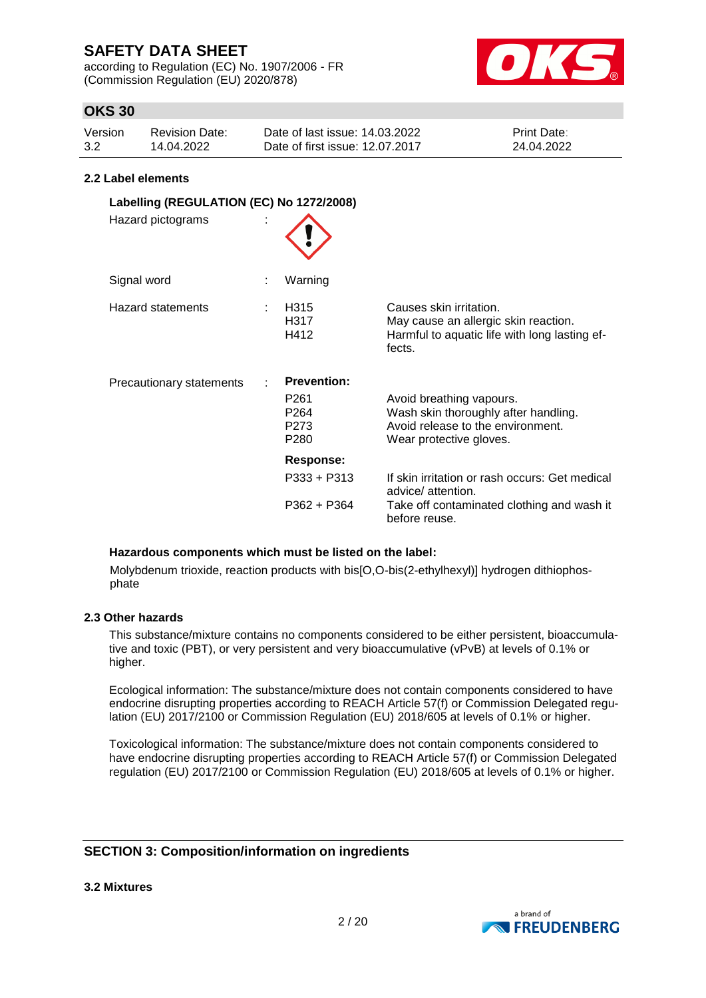according to Regulation (EC) No. 1907/2006 - FR (Commission Regulation (EU) 2020/878)



# **OKS 30**

| Version | Revision Date: | Date of last issue: 14.03.2022  | <b>Print Date:</b> |
|---------|----------------|---------------------------------|--------------------|
| 3.2     | 14.04.2022     | Date of first issue: 12.07.2017 | 24.04.2022         |

#### **2.2 Label elements**

| Labelling (REGULATION (EC) No 1272/2008)<br>Hazard pictograms |                                                                                        |                                                                                                                                  |
|---------------------------------------------------------------|----------------------------------------------------------------------------------------|----------------------------------------------------------------------------------------------------------------------------------|
| Signal word                                                   | Warning                                                                                |                                                                                                                                  |
| Hazard statements                                             | H315<br>H317<br>H412                                                                   | Causes skin irritation.<br>May cause an allergic skin reaction.<br>Harmful to aquatic life with long lasting ef-<br>fects.       |
| <b>Precautionary statements</b>                               | <b>Prevention:</b><br>P <sub>261</sub><br>P <sub>264</sub><br>P273<br>P <sub>280</sub> | Avoid breathing vapours.<br>Wash skin thoroughly after handling.<br>Avoid release to the environment.<br>Wear protective gloves. |
|                                                               | <b>Response:</b>                                                                       |                                                                                                                                  |
|                                                               | $P333 + P313$                                                                          | If skin irritation or rash occurs: Get medical<br>advice/attention.                                                              |
|                                                               | $P362 + P364$                                                                          | Take off contaminated clothing and wash it<br>before reuse.                                                                      |

#### **Hazardous components which must be listed on the label:**

Molybdenum trioxide, reaction products with bis[O,O-bis(2-ethylhexyl)] hydrogen dithiophosphate

#### **2.3 Other hazards**

This substance/mixture contains no components considered to be either persistent, bioaccumulative and toxic (PBT), or very persistent and very bioaccumulative (vPvB) at levels of 0.1% or higher.

Ecological information: The substance/mixture does not contain components considered to have endocrine disrupting properties according to REACH Article 57(f) or Commission Delegated regulation (EU) 2017/2100 or Commission Regulation (EU) 2018/605 at levels of 0.1% or higher.

Toxicological information: The substance/mixture does not contain components considered to have endocrine disrupting properties according to REACH Article 57(f) or Commission Delegated regulation (EU) 2017/2100 or Commission Regulation (EU) 2018/605 at levels of 0.1% or higher.

## **SECTION 3: Composition/information on ingredients**

**3.2 Mixtures**

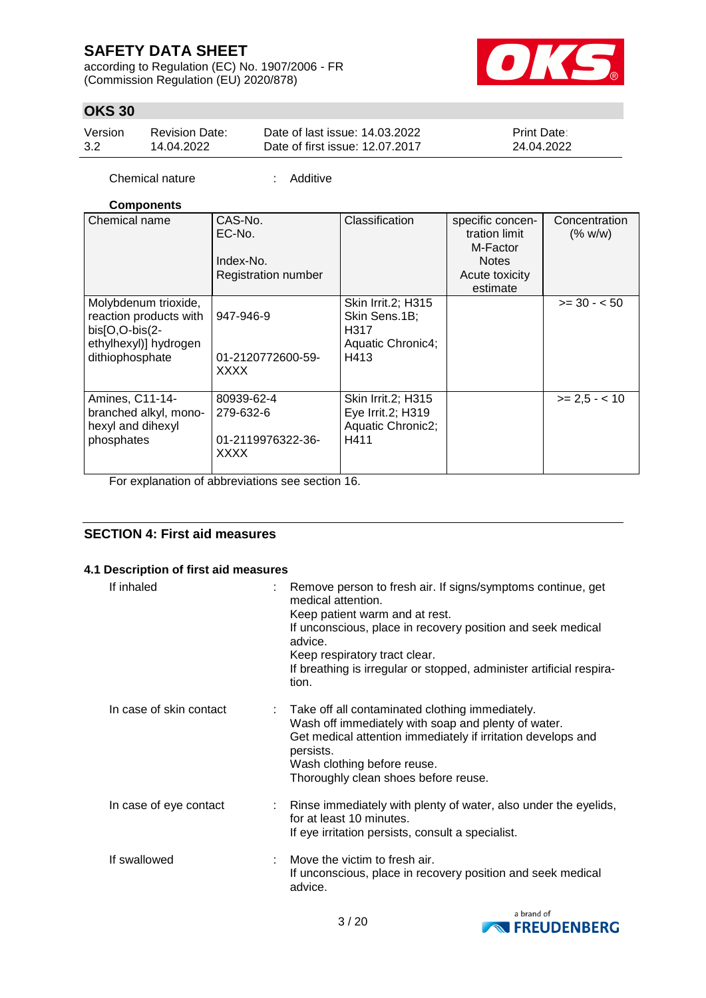according to Regulation (EC) No. 1907/2006 - FR (Commission Regulation (EU) 2020/878)



# **OKS 30**

| Version | Revision Date: | Date of last issue: 14.03.2022  | <b>Print Date:</b> |
|---------|----------------|---------------------------------|--------------------|
| 3.2     | 14.04.2022     | Date of first issue: 12.07.2017 | 24.04.2022         |

Chemical nature : Additive

### **Components**

| Chemical name                                                                                                | CAS-No.<br>EC-No.<br>Index-No.<br><b>Registration number</b> | Classification                                                                  | specific concen-<br>tration limit<br>M-Factor<br><b>Notes</b><br>Acute toxicity<br>estimate | Concentration<br>(% w/w) |
|--------------------------------------------------------------------------------------------------------------|--------------------------------------------------------------|---------------------------------------------------------------------------------|---------------------------------------------------------------------------------------------|--------------------------|
| Molybdenum trioxide,<br>reaction products with<br>bis[O,O-bis(2-<br>ethylhexyl)] hydrogen<br>dithiophosphate | 947-946-9<br>01-2120772600-59-<br><b>XXXX</b>                | <b>Skin Irrit.2; H315</b><br>Skin Sens.1B;<br>H317<br>Aquatic Chronic4;<br>H413 |                                                                                             | $>= 30 - 50$             |
| Amines, C11-14-<br>branched alkyl, mono-<br>hexyl and dihexyl<br>phosphates                                  | 80939-62-4<br>279-632-6<br>01-2119976322-36-<br><b>XXXX</b>  | Skin Irrit.2; H315<br>Eye Irrit.2; H319<br>Aquatic Chronic2;<br>H411            |                                                                                             | $>= 2.5 - < 10$          |

For explanation of abbreviations see section 16.

## **SECTION 4: First aid measures**

### **4.1 Description of first aid measures**

| If inhaled              | Remove person to fresh air. If signs/symptoms continue, get<br>medical attention.<br>Keep patient warm and at rest.<br>If unconscious, place in recovery position and seek medical<br>advice.<br>Keep respiratory tract clear.<br>If breathing is irregular or stopped, administer artificial respira-<br>tion. |
|-------------------------|-----------------------------------------------------------------------------------------------------------------------------------------------------------------------------------------------------------------------------------------------------------------------------------------------------------------|
| In case of skin contact | : Take off all contaminated clothing immediately.<br>Wash off immediately with soap and plenty of water.<br>Get medical attention immediately if irritation develops and<br>persists.<br>Wash clothing before reuse.<br>Thoroughly clean shoes before reuse.                                                    |
| In case of eye contact  | : Rinse immediately with plenty of water, also under the eyelids,<br>for at least 10 minutes.<br>If eye irritation persists, consult a specialist.                                                                                                                                                              |
| If swallowed            | Move the victim to fresh air.<br>If unconscious, place in recovery position and seek medical<br>advice.                                                                                                                                                                                                         |

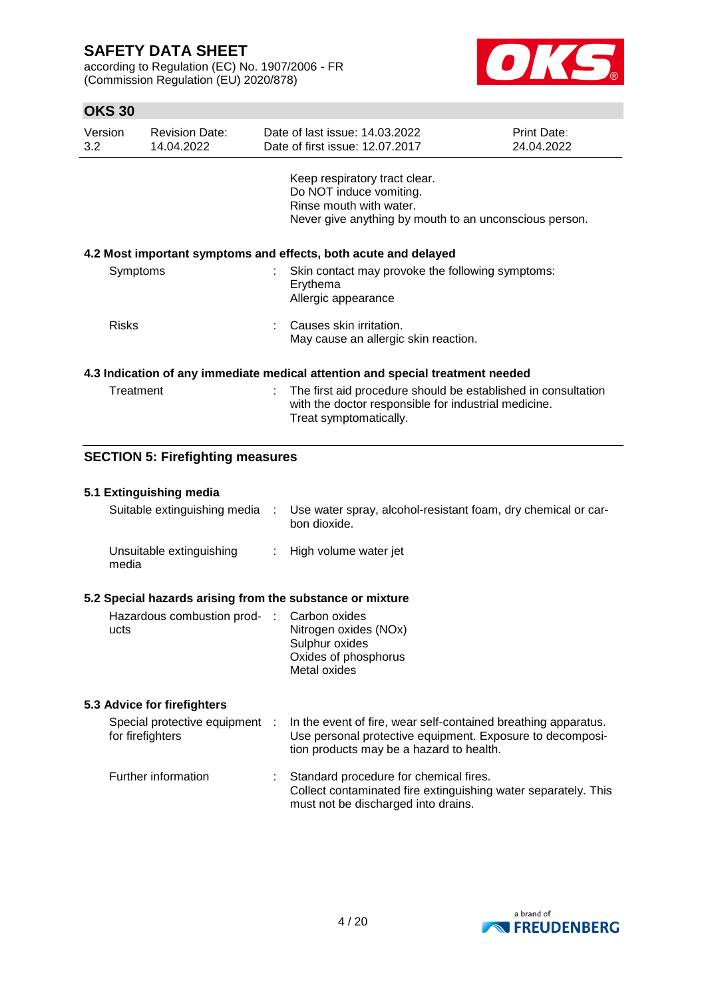according to Regulation (EC) No. 1907/2006 - FR (Commission Regulation (EU) 2020/878)



# **OKS 30**

| Version<br>3.2                                                  | <b>Revision Date:</b><br>14.04.2022 |   | Date of last issue: 14.03.2022<br>Date of first issue: 12.07.2017                                                                             | Print Date:<br>24.04.2022 |  |
|-----------------------------------------------------------------|-------------------------------------|---|-----------------------------------------------------------------------------------------------------------------------------------------------|---------------------------|--|
|                                                                 |                                     |   | Keep respiratory tract clear.<br>Do NOT induce vomiting.<br>Rinse mouth with water.<br>Never give anything by mouth to an unconscious person. |                           |  |
| 4.2 Most important symptoms and effects, both acute and delayed |                                     |   |                                                                                                                                               |                           |  |
| Symptoms                                                        |                                     |   | : Skin contact may provoke the following symptoms:<br>Erythema<br>Allergic appearance                                                         |                           |  |
| <b>Risks</b>                                                    |                                     |   | Causes skin irritation.<br>May cause an allergic skin reaction.                                                                               |                           |  |
|                                                                 |                                     |   | 4.3 Indication of any immediate medical attention and special treatment needed                                                                |                           |  |
| Treatment                                                       |                                     | ÷ | The first aid procedure should be established in consultation<br>with the doctor responsible for industrial medicine.                         |                           |  |

# **SECTION 5: Firefighting measures**

#### **5.1 Extinguishing media**

| Suitable extinguishing media :                            | Use water spray, alcohol-resistant foam, dry chemical or car-<br>bon dioxide. |
|-----------------------------------------------------------|-------------------------------------------------------------------------------|
| Unsuitable extinguishing<br>media                         | : High volume water jet                                                       |
| 5.2 Special hazards arising from the substance or mixture |                                                                               |

Treat symptomatically.

| Hazardous combustion prod- : Carbon oxides |                       |
|--------------------------------------------|-----------------------|
| ucts                                       | Nitrogen oxides (NOx) |
|                                            | Sulphur oxides        |
|                                            | Oxides of phosphorus  |
|                                            | Metal oxides          |

### **5.3 Advice for firefighters**

| Special protective equipment :<br>for firefighters | In the event of fire, wear self-contained breathing apparatus.<br>Use personal protective equipment. Exposure to decomposi-<br>tion products may be a hazard to health. |
|----------------------------------------------------|-------------------------------------------------------------------------------------------------------------------------------------------------------------------------|
| Further information                                | Standard procedure for chemical fires.<br>Collect contaminated fire extinguishing water separately. This<br>must not be discharged into drains.                         |

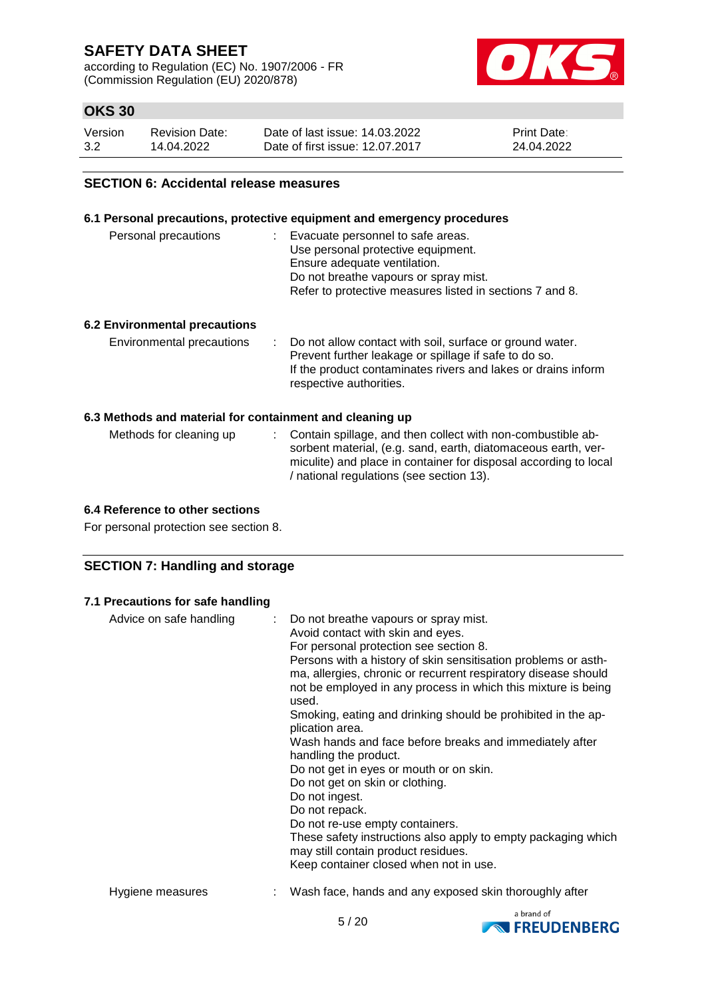according to Regulation (EC) No. 1907/2006 - FR (Commission Regulation (EU) 2020/878)



# **OKS 30**

| Version | Revision Date: | Date of last issue: 14.03.2022  | <b>Print Date:</b> |
|---------|----------------|---------------------------------|--------------------|
| 3.2     | 14.04.2022     | Date of first issue: 12.07.2017 | 24.04.2022         |

#### **SECTION 6: Accidental release measures**

### **6.1 Personal precautions, protective equipment and emergency procedures**

| Personal precautions | : Evacuate personnel to safe areas.                      |
|----------------------|----------------------------------------------------------|
|                      | Use personal protective equipment.                       |
|                      | Ensure adequate ventilation.                             |
|                      | Do not breathe vapours or spray mist.                    |
|                      | Refer to protective measures listed in sections 7 and 8. |
|                      |                                                          |

### **6.2 Environmental precautions**

| Environmental precautions | : Do not allow contact with soil, surface or ground water.    |
|---------------------------|---------------------------------------------------------------|
|                           | Prevent further leakage or spillage if safe to do so.         |
|                           | If the product contaminates rivers and lakes or drains inform |
|                           | respective authorities.                                       |

#### **6.3 Methods and material for containment and cleaning up**

| Methods for cleaning up | : Contain spillage, and then collect with non-combustible ab-    |
|-------------------------|------------------------------------------------------------------|
|                         | sorbent material, (e.g. sand, earth, diatomaceous earth, ver-    |
|                         | miculite) and place in container for disposal according to local |
|                         | / national regulations (see section 13).                         |

### **6.4 Reference to other sections**

For personal protection see section 8.

## **SECTION 7: Handling and storage**

#### **7.1 Precautions for safe handling**

| Advice on safe handling | : Do not breathe vapours or spray mist.<br>Avoid contact with skin and eyes.<br>For personal protection see section 8.<br>Persons with a history of skin sensitisation problems or asth-<br>ma, allergies, chronic or recurrent respiratory disease should<br>not be employed in any process in which this mixture is being<br>used.<br>Smoking, eating and drinking should be prohibited in the ap-<br>plication area.<br>Wash hands and face before breaks and immediately after<br>handling the product.<br>Do not get in eyes or mouth or on skin.<br>Do not get on skin or clothing.<br>Do not ingest.<br>Do not repack.<br>Do not re-use empty containers.<br>These safety instructions also apply to empty packaging which<br>may still contain product residues.<br>Keep container closed when not in use. |
|-------------------------|--------------------------------------------------------------------------------------------------------------------------------------------------------------------------------------------------------------------------------------------------------------------------------------------------------------------------------------------------------------------------------------------------------------------------------------------------------------------------------------------------------------------------------------------------------------------------------------------------------------------------------------------------------------------------------------------------------------------------------------------------------------------------------------------------------------------|
| Hygiene measures        | Wash face, hands and any exposed skin thoroughly after                                                                                                                                                                                                                                                                                                                                                                                                                                                                                                                                                                                                                                                                                                                                                             |

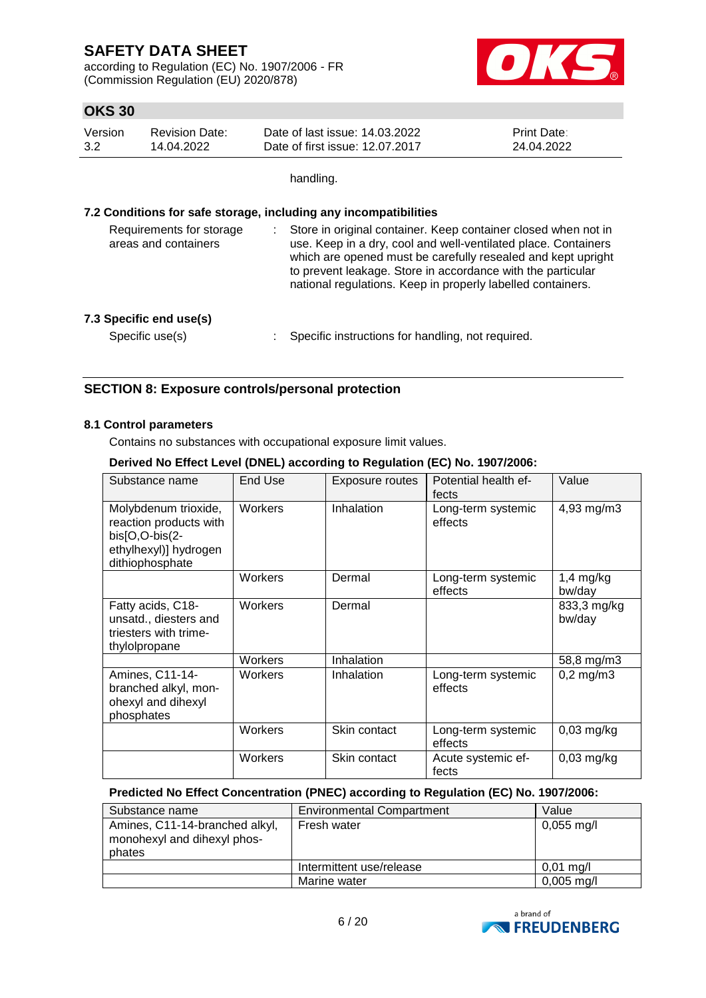according to Regulation (EC) No. 1907/2006 - FR (Commission Regulation (EU) 2020/878)



# **OKS 30**

| Version | <b>Revision Date:</b> | Date of last issue: 14.03.2022  | <b>Print Date:</b> |
|---------|-----------------------|---------------------------------|--------------------|
| 3.2     | 14.04.2022            | Date of first issue: 12.07.2017 | 24.04.2022         |

handling.

### **7.2 Conditions for safe storage, including any incompatibilities**

| Requirements for storage<br>areas and containers | Store in original container. Keep container closed when not in<br>use. Keep in a dry, cool and well-ventilated place. Containers<br>which are opened must be carefully resealed and kept upright<br>to prevent leakage. Store in accordance with the particular<br>national regulations. Keep in properly labelled containers. |
|--------------------------------------------------|--------------------------------------------------------------------------------------------------------------------------------------------------------------------------------------------------------------------------------------------------------------------------------------------------------------------------------|
| 7.3 Specific end use(s)<br>Specific use(s)       | Specific instructions for handling, not required.                                                                                                                                                                                                                                                                              |
|                                                  |                                                                                                                                                                                                                                                                                                                                |

## **SECTION 8: Exposure controls/personal protection**

### **8.1 Control parameters**

Contains no substances with occupational exposure limit values.

### **Derived No Effect Level (DNEL) according to Regulation (EC) No. 1907/2006:**

| Substance name                                                                                               | End Use | Exposure routes | Potential health ef-<br>fects | Value                 |
|--------------------------------------------------------------------------------------------------------------|---------|-----------------|-------------------------------|-----------------------|
| Molybdenum trioxide,<br>reaction products with<br>bis[O,O-bis(2-<br>ethylhexyl)] hydrogen<br>dithiophosphate | Workers | Inhalation      | Long-term systemic<br>effects | 4,93 mg/m3            |
|                                                                                                              | Workers | Dermal          | Long-term systemic<br>effects | $1,4$ mg/kg<br>bw/day |
| Fatty acids, C18-<br>unsatd., diesters and<br>triesters with trime-<br>thylolpropane                         | Workers | Dermal          |                               | 833,3 mg/kg<br>bw/day |
|                                                                                                              | Workers | Inhalation      |                               | 58,8 mg/m3            |
| Amines, C11-14-<br>branched alkyl, mon-<br>ohexyl and dihexyl<br>phosphates                                  | Workers | Inhalation      | Long-term systemic<br>effects | $0,2$ mg/m $3$        |
|                                                                                                              | Workers | Skin contact    | Long-term systemic<br>effects | $0,03$ mg/kg          |
|                                                                                                              | Workers | Skin contact    | Acute systemic ef-<br>fects   | $0,03$ mg/kg          |

### **Predicted No Effect Concentration (PNEC) according to Regulation (EC) No. 1907/2006:**

| Substance name                                                          | <b>Environmental Compartment</b> | Value                |
|-------------------------------------------------------------------------|----------------------------------|----------------------|
| Amines, C11-14-branched alkyl,<br>monohexyl and dihexyl phos-<br>phates | Fresh water                      | $0,055 \text{ mg/l}$ |
|                                                                         | Intermittent use/release         | $0,01 \text{ mg/l}$  |
|                                                                         | Marine water                     | $0,005 \text{ mg/l}$ |

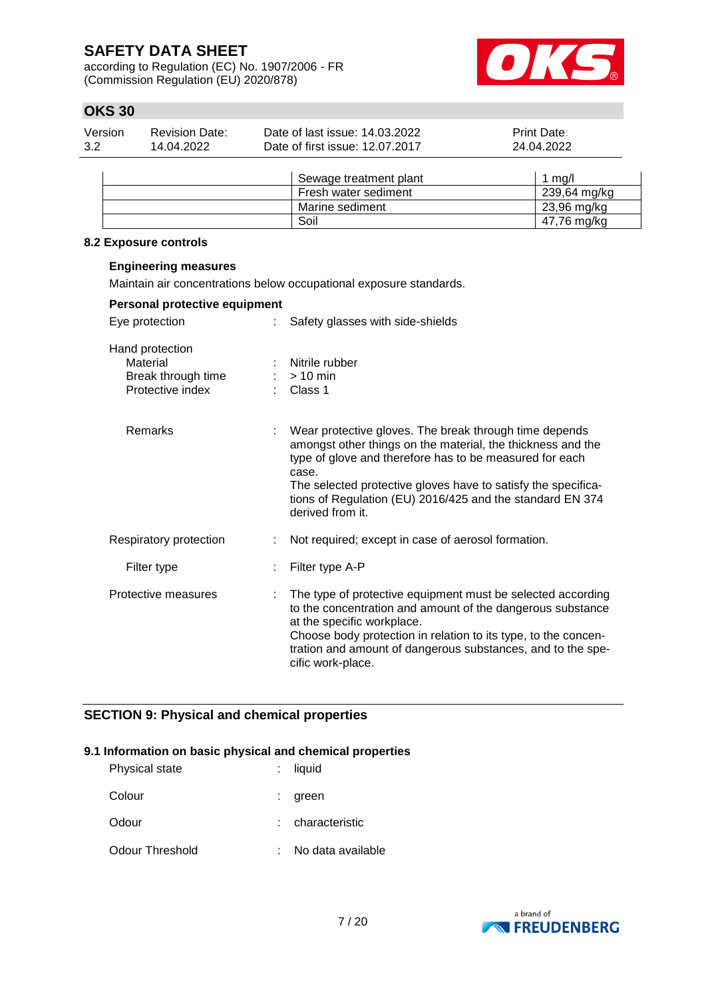according to Regulation (EC) No. 1907/2006 - FR (Commission Regulation (EU) 2020/878)



# **OKS 30**

| Version | Revision Date: | Date of last issue: 14.03.2022  | <b>Print Date:</b> |
|---------|----------------|---------------------------------|--------------------|
| 3.2     | 14.04.2022     | Date of first issue: 12.07.2017 | 24.04.2022         |

| Sewage treatment plant | ma/l         |
|------------------------|--------------|
| Fresh water sediment   | 239,64 mg/kg |
| Marine sediment        | 23,96 mg/kg  |
| Soil                   | 47,76 mg/kg  |

### **8.2 Exposure controls**

**Engineering measures**

| Maintain air concentrations below occupational exposure standards.    |  |                                                                                                                                                                                                                                                                                                                                             |  |  |
|-----------------------------------------------------------------------|--|---------------------------------------------------------------------------------------------------------------------------------------------------------------------------------------------------------------------------------------------------------------------------------------------------------------------------------------------|--|--|
| Personal protective equipment                                         |  |                                                                                                                                                                                                                                                                                                                                             |  |  |
| Eye protection                                                        |  | Safety glasses with side-shields                                                                                                                                                                                                                                                                                                            |  |  |
| Hand protection<br>Material<br>Break through time<br>Protective index |  | Nitrile rubber<br>$:$ > 10 min<br>$\therefore$ Class 1                                                                                                                                                                                                                                                                                      |  |  |
| Remarks                                                               |  | Wear protective gloves. The break through time depends<br>amongst other things on the material, the thickness and the<br>type of glove and therefore has to be measured for each<br>case.<br>The selected protective gloves have to satisfy the specifica-<br>tions of Regulation (EU) 2016/425 and the standard EN 374<br>derived from it. |  |  |
| Respiratory protection                                                |  | Not required; except in case of aerosol formation.                                                                                                                                                                                                                                                                                          |  |  |
| Filter type                                                           |  | Filter type A-P                                                                                                                                                                                                                                                                                                                             |  |  |
| Protective measures                                                   |  | The type of protective equipment must be selected according<br>to the concentration and amount of the dangerous substance<br>at the specific workplace.<br>Choose body protection in relation to its type, to the concen-<br>tration and amount of dangerous substances, and to the spe-<br>cific work-place.                               |  |  |

# **SECTION 9: Physical and chemical properties**

### **9.1 Information on basic physical and chemical properties**

| <b>Physical state</b> | liquid            |
|-----------------------|-------------------|
| Colour                | green             |
| Odour                 | : characteristic  |
| Odour Threshold       | No data available |

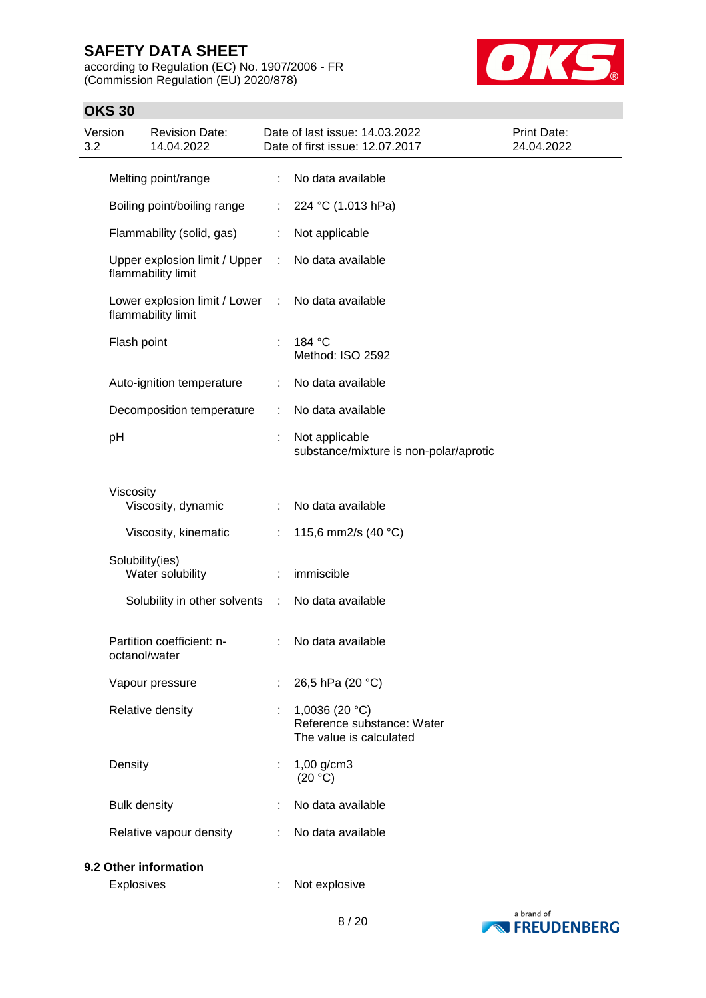according to Regulation (EC) No. 1907/2006 - FR (Commission Regulation (EU) 2020/878)



# **OKS 30**

| Version<br>3.2 | <b>Revision Date:</b><br>14.04.2022                                     | Date of last issue: 14.03.2022<br>Date of first issue: 12.07.2017          | Print Date:<br>24.04.2022 |
|----------------|-------------------------------------------------------------------------|----------------------------------------------------------------------------|---------------------------|
|                | Melting point/range                                                     | No data available<br>$\mathbb{R}^n$                                        |                           |
|                | Boiling point/boiling range                                             | 224 °C (1.013 hPa)<br>$\mathbb{R}^n$                                       |                           |
|                | Flammability (solid, gas)                                               | Not applicable<br>÷.                                                       |                           |
|                | Upper explosion limit / Upper<br>flammability limit                     | No data available<br>$\mathcal{L}^{\mathcal{L}}$                           |                           |
|                | Lower explosion limit / Lower : No data available<br>flammability limit |                                                                            |                           |
|                | Flash point                                                             | 184 °C<br>÷<br>Method: ISO 2592                                            |                           |
|                | Auto-ignition temperature                                               | No data available<br>÷.                                                    |                           |
|                | Decomposition temperature                                               | No data available<br>÷                                                     |                           |
|                | pH                                                                      | Not applicable<br>÷<br>substance/mixture is non-polar/aprotic              |                           |
|                | Viscosity<br>Viscosity, dynamic                                         | No data available                                                          |                           |
|                | Viscosity, kinematic                                                    | 115,6 mm2/s (40 °C)<br>$\mathbb{R}^n$                                      |                           |
|                | Solubility(ies)<br>Water solubility                                     | immiscible<br>÷.                                                           |                           |
|                | Solubility in other solvents :                                          | No data available                                                          |                           |
|                | Partition coefficient: n-<br>octanol/water                              | No data available<br>t.                                                    |                           |
|                | Vapour pressure                                                         | 26,5 hPa (20 °C)                                                           |                           |
|                | Relative density                                                        | 1,0036 (20 $°C$ )<br>Reference substance: Water<br>The value is calculated |                           |
|                | Density                                                                 | $1,00$ g/cm3<br>(20 °C)                                                    |                           |
|                | <b>Bulk density</b>                                                     | No data available                                                          |                           |
|                | Relative vapour density                                                 | No data available<br>÷.                                                    |                           |
|                | 9.2 Other information                                                   |                                                                            |                           |
|                | Explosives                                                              | Not explosive                                                              |                           |

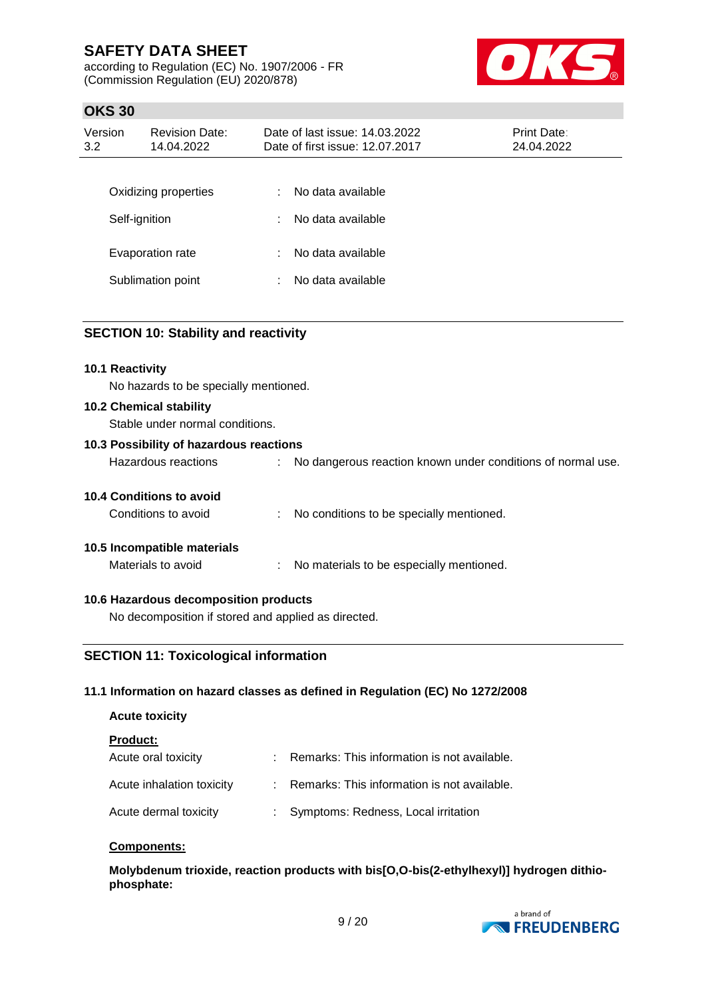according to Regulation (EC) No. 1907/2006 - FR (Commission Regulation (EU) 2020/878)



## **OKS 30**

| Version<br>3.2 | <b>Revision Date:</b><br>14.04.2022 |   | Date of last issue: 14.03.2022<br>Date of first issue: 12.07.2017 | Print Date:<br>24.04.2022 |
|----------------|-------------------------------------|---|-------------------------------------------------------------------|---------------------------|
|                |                                     |   |                                                                   |                           |
|                | Oxidizing properties                | ÷ | No data available                                                 |                           |
|                | Self-ignition                       | ÷ | No data available                                                 |                           |
|                | Evaporation rate                    | ÷ | No data available                                                 |                           |
|                |                                     |   |                                                                   |                           |
|                | Sublimation point                   | ÷ | No data available                                                 |                           |
|                |                                     |   |                                                                   |                           |

### **SECTION 10: Stability and reactivity**

#### **10.1 Reactivity**

No hazards to be specially mentioned.

#### **10.2 Chemical stability**

Stable under normal conditions.

### **10.3 Possibility of hazardous reactions**

| Hazardous reactions             | No dangerous reaction known under conditions of normal use. |
|---------------------------------|-------------------------------------------------------------|
| <b>10.4 Conditions to avoid</b> |                                                             |

| Conditions to avoid |  | No conditions to be specially mentioned. |
|---------------------|--|------------------------------------------|
|---------------------|--|------------------------------------------|

### **10.5 Incompatible materials**

Materials to avoid : No materials to be especially mentioned.

### **10.6 Hazardous decomposition products**

No decomposition if stored and applied as directed.

### **SECTION 11: Toxicological information**

### **11.1 Information on hazard classes as defined in Regulation (EC) No 1272/2008**

| <b>Acute toxicity</b>     |    |                                             |
|---------------------------|----|---------------------------------------------|
| <b>Product:</b>           |    |                                             |
| Acute oral toxicity       |    | Remarks: This information is not available. |
| Acute inhalation toxicity | t. | Remarks: This information is not available. |
| Acute dermal toxicity     | t. | Symptoms: Redness, Local irritation         |

#### **Components:**

**Molybdenum trioxide, reaction products with bis[O,O-bis(2-ethylhexyl)] hydrogen dithiophosphate:**

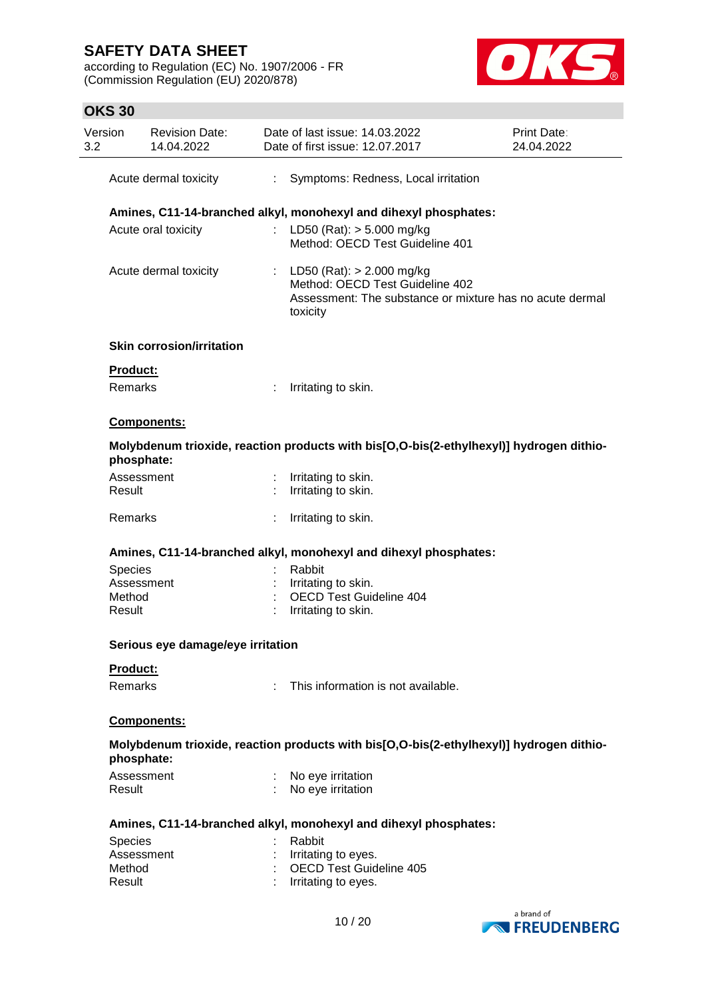according to Regulation (EC) No. 1907/2006 - FR (Commission Regulation (EU) 2020/878)



# **OKS 30**

| Version<br>3.2 | <b>Revision Date:</b><br>14.04.2022 |   | Date of last issue: 14.03.2022<br>Date of first issue: 12.07.2017                                                                        | <b>Print Date:</b><br>24.04.2022 |
|----------------|-------------------------------------|---|------------------------------------------------------------------------------------------------------------------------------------------|----------------------------------|
|                | Acute dermal toxicity               | ÷ | Symptoms: Redness, Local irritation                                                                                                      |                                  |
|                |                                     |   | Amines, C11-14-branched alkyl, monohexyl and dihexyl phosphates:                                                                         |                                  |
|                | Acute oral toxicity                 |   | : LD50 (Rat): $>$ 5.000 mg/kg<br>Method: OECD Test Guideline 401                                                                         |                                  |
|                | Acute dermal toxicity               |   | : LD50 (Rat): $> 2.000$ mg/kg<br>Method: OECD Test Guideline 402<br>Assessment: The substance or mixture has no acute dermal<br>toxicity |                                  |
|                | <b>Skin corrosion/irritation</b>    |   |                                                                                                                                          |                                  |
| Product:       |                                     |   |                                                                                                                                          |                                  |
| Remarks        |                                     | ÷ | Irritating to skin.                                                                                                                      |                                  |
|                | Components:                         |   |                                                                                                                                          |                                  |
|                | phosphate:                          |   | Molybdenum trioxide, reaction products with bis[O,O-bis(2-ethylhexyl)] hydrogen dithio-                                                  |                                  |
|                | Assessment                          |   | Irritating to skin.                                                                                                                      |                                  |
| Result         |                                     |   | Irritating to skin.                                                                                                                      |                                  |
| Remarks        |                                     |   | Irritating to skin.                                                                                                                      |                                  |
|                |                                     |   | Amines, C11-14-branched alkyl, monohexyl and dihexyl phosphates:                                                                         |                                  |
| <b>Species</b> |                                     |   | Rabbit                                                                                                                                   |                                  |
|                | Assessment                          |   | Irritating to skin.                                                                                                                      |                                  |
| Method         |                                     |   | <b>OECD Test Guideline 404</b>                                                                                                           |                                  |
| Result         |                                     |   | Irritating to skin.                                                                                                                      |                                  |
|                | Serious eye damage/eye irritation   |   |                                                                                                                                          |                                  |
| Product:       |                                     |   |                                                                                                                                          |                                  |
| <b>Remarks</b> |                                     | ٠ | This information is not available.                                                                                                       |                                  |
|                | Components:                         |   |                                                                                                                                          |                                  |
|                | phosphate:                          |   | Molybdenum trioxide, reaction products with bis[O,O-bis(2-ethylhexyl)] hydrogen dithio-                                                  |                                  |
| Result         | Assessment                          |   | No eye irritation<br>No eye irritation                                                                                                   |                                  |
|                |                                     |   | Amines, C11-14-branched alkyl, monohexyl and dihexyl phosphates:                                                                         |                                  |
| <b>Species</b> |                                     |   | Rabbit                                                                                                                                   |                                  |
|                | Assessment                          |   | Irritating to eyes.                                                                                                                      |                                  |
| Method         |                                     |   | <b>OECD Test Guideline 405</b>                                                                                                           |                                  |
| Result         |                                     |   | Irritating to eyes.                                                                                                                      |                                  |
|                |                                     |   |                                                                                                                                          |                                  |

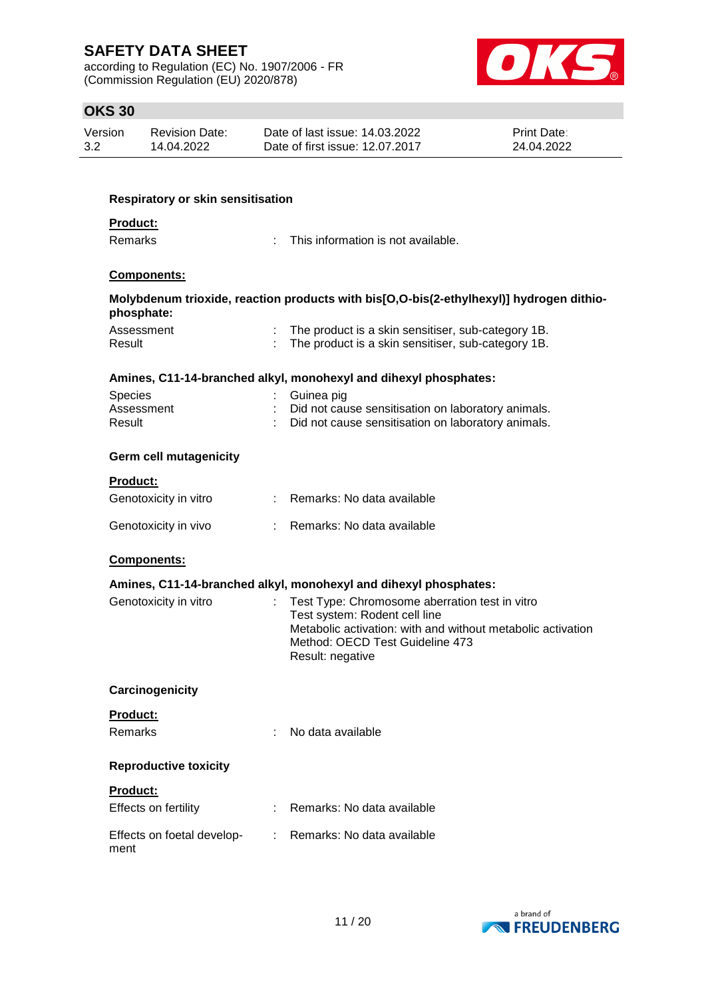according to Regulation (EC) No. 1907/2006 - FR (Commission Regulation (EU) 2020/878)



# **OKS 30**

| Version | <b>Revision Date:</b> | Date of last issue: 14.03.2022  | <b>Print Date:</b> |
|---------|-----------------------|---------------------------------|--------------------|
| 3.2     | 14.04.2022            | Date of first issue: 12.07.2017 | 24.04.2022         |

| <b>Respiratory or skin sensitisation</b> |                                                                                                |
|------------------------------------------|------------------------------------------------------------------------------------------------|
| <b>Product:</b><br><b>Remarks</b>        | This information is not available.                                                             |
|                                          |                                                                                                |
| <b>Components:</b>                       |                                                                                                |
| phosphate:                               | Molybdenum trioxide, reaction products with bis[O,O-bis(2-ethylhexyl)] hydrogen dithio-        |
| Assessment                               | The product is a skin sensitiser, sub-category 1B.                                             |
| Result                                   | The product is a skin sensitiser, sub-category 1B.                                             |
|                                          | Amines, C11-14-branched alkyl, monohexyl and dihexyl phosphates:                               |
| <b>Species</b>                           | Guinea pig                                                                                     |
| Assessment                               | Did not cause sensitisation on laboratory animals.                                             |
| Result                                   | Did not cause sensitisation on laboratory animals.                                             |
| <b>Germ cell mutagenicity</b>            |                                                                                                |
| <b>Product:</b>                          |                                                                                                |
| Genotoxicity in vitro                    | : Remarks: No data available                                                                   |
| Genotoxicity in vivo                     | Remarks: No data available                                                                     |
| <b>Components:</b>                       |                                                                                                |
|                                          | Amines, C11-14-branched alkyl, monohexyl and dihexyl phosphates:                               |
| Genotoxicity in vitro                    | Test Type: Chromosome aberration test in vitro                                                 |
|                                          | Test system: Rodent cell line                                                                  |
|                                          | Metabolic activation: with and without metabolic activation<br>Method: OECD Test Guideline 473 |
|                                          | Result: negative                                                                               |
|                                          |                                                                                                |
| Carcinogenicity                          |                                                                                                |
| Product:                                 |                                                                                                |
| <b>Remarks</b>                           | No data available                                                                              |
| <b>Reproductive toxicity</b>             |                                                                                                |
| Product:                                 |                                                                                                |
| Effects on fertility                     | Remarks: No data available                                                                     |
|                                          |                                                                                                |
| Effects on foetal develop-<br>ment       | Remarks: No data available                                                                     |
|                                          |                                                                                                |

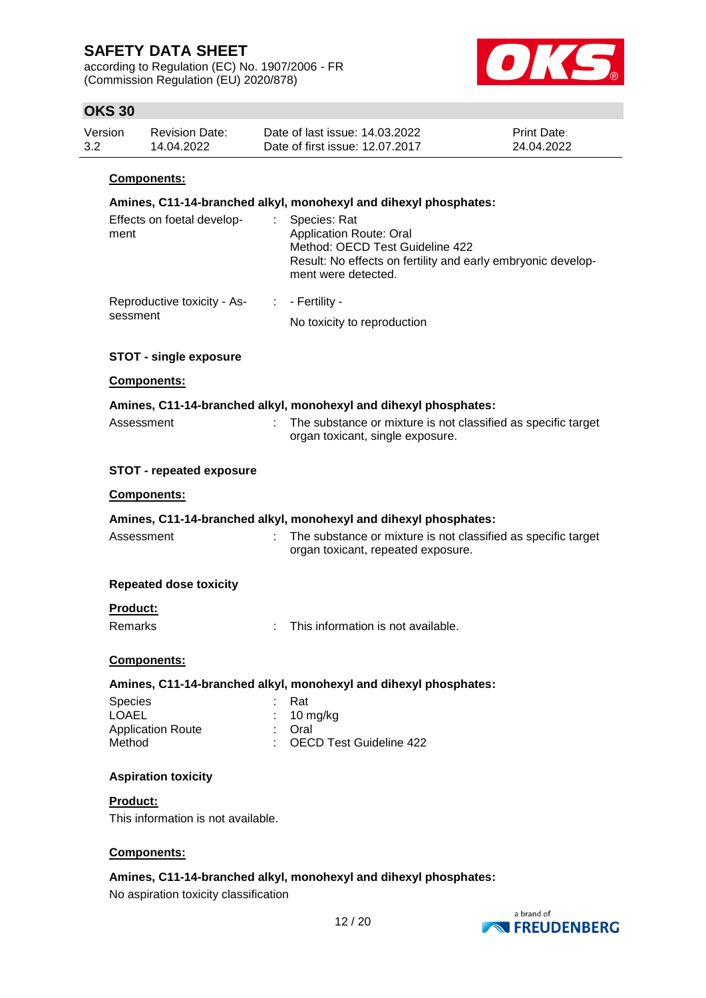according to Regulation (EC) No. 1907/2006 - FR (Commission Regulation (EU) 2020/878)



## **OKS 30**

| Version | <b>Revision Date:</b> | Date of last issue: 14.03.2022  | <b>Print Date:</b> |
|---------|-----------------------|---------------------------------|--------------------|
| 3.2     | 14.04.2022            | Date of first issue: 12.07.2017 | 24.04.2022         |

### **Components:**

| oomponomo.                                           |                                                                                                                                                                          |
|------------------------------------------------------|--------------------------------------------------------------------------------------------------------------------------------------------------------------------------|
|                                                      | Amines, C11-14-branched alkyl, monohexyl and dihexyl phosphates:                                                                                                         |
| Effects on foetal develop-<br>$\mathbb{Z}^n$<br>ment | Species: Rat<br><b>Application Route: Oral</b><br>Method: OECD Test Guideline 422<br>Result: No effects on fertility and early embryonic develop-<br>ment were detected. |
| Reproductive toxicity - As-                          | $\vdots$ - Fertility -                                                                                                                                                   |
| sessment                                             | No toxicity to reproduction                                                                                                                                              |
| <b>STOT - single exposure</b>                        |                                                                                                                                                                          |
| <b>Components:</b>                                   |                                                                                                                                                                          |
|                                                      | Amines, C11-14-branched alkyl, monohexyl and dihexyl phosphates:                                                                                                         |
| Assessment                                           | The substance or mixture is not classified as specific target<br>organ toxicant, single exposure.                                                                        |
| <b>STOT - repeated exposure</b>                      |                                                                                                                                                                          |
| Components:                                          |                                                                                                                                                                          |
|                                                      | Amines, C11-14-branched alkyl, monohexyl and dihexyl phosphates:                                                                                                         |
| Assessment                                           | The substance or mixture is not classified as specific target<br>organ toxicant, repeated exposure.                                                                      |
| <b>Repeated dose toxicity</b>                        |                                                                                                                                                                          |
| <b>Product:</b><br>Remarks<br>÷.                     | This information is not available.                                                                                                                                       |
| <b>Components:</b>                                   |                                                                                                                                                                          |
|                                                      | Amines, C11-14-branched alkyl, monohexyl and dihexyl phosphates:                                                                                                         |
| <b>Species</b>                                       | Rat                                                                                                                                                                      |
| LOAEL                                                | 10 mg/kg                                                                                                                                                                 |
| <b>Application Route</b><br>Method                   | Oral<br><b>OECD Test Guideline 422</b>                                                                                                                                   |
| <b>Aspiration toxicity</b>                           |                                                                                                                                                                          |
| Product:                                             |                                                                                                                                                                          |
| This information is not available.                   |                                                                                                                                                                          |

## **Components:**

# **Amines, C11-14-branched alkyl, monohexyl and dihexyl phosphates:**

No aspiration toxicity classification

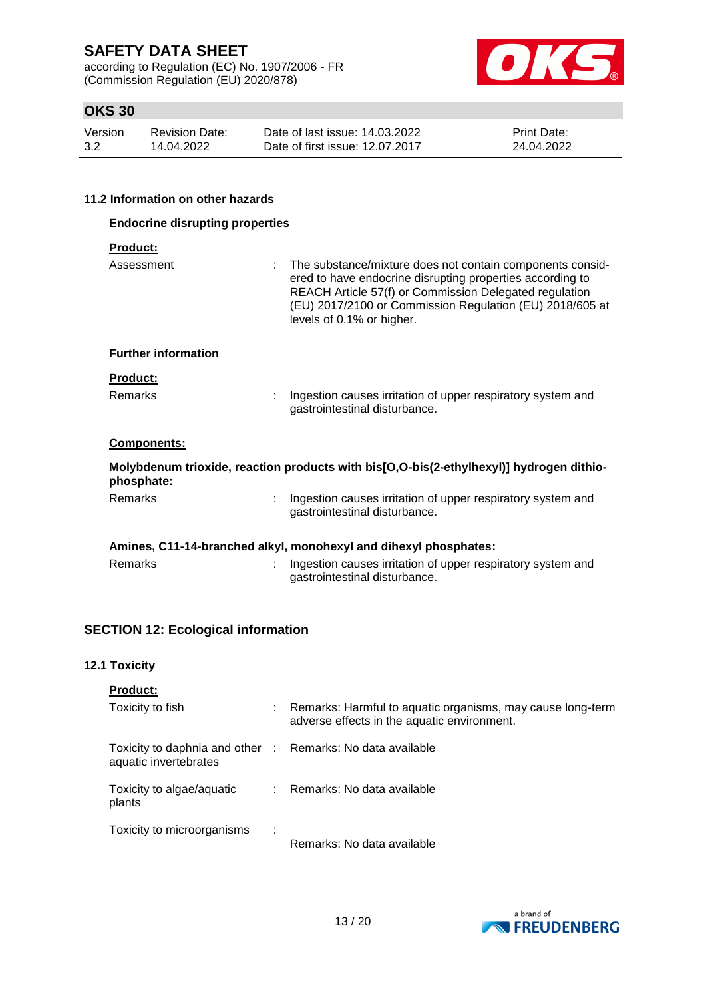according to Regulation (EC) No. 1907/2006 - FR (Commission Regulation (EU) 2020/878)



# **OKS 30**

| Version | Revision Date: | Date of last issue: 14.03.2022  | <b>Print Date:</b> |
|---------|----------------|---------------------------------|--------------------|
| 3.2     | 14.04.2022     | Date of first issue: 12.07.2017 | 24.04.2022         |

### **11.2 Information on other hazards**

| <b>Endocrine disrupting properties</b> |                                                                                                                                                                                                                                                                           |  |
|----------------------------------------|---------------------------------------------------------------------------------------------------------------------------------------------------------------------------------------------------------------------------------------------------------------------------|--|
| <b>Product:</b>                        |                                                                                                                                                                                                                                                                           |  |
| Assessment                             | The substance/mixture does not contain components consid-<br>ered to have endocrine disrupting properties according to<br>REACH Article 57(f) or Commission Delegated regulation<br>(EU) 2017/2100 or Commission Regulation (EU) 2018/605 at<br>levels of 0.1% or higher. |  |
| <b>Further information</b>             |                                                                                                                                                                                                                                                                           |  |
| <b>Product:</b>                        |                                                                                                                                                                                                                                                                           |  |
| Remarks                                | Ingestion causes irritation of upper respiratory system and<br>gastrointestinal disturbance.                                                                                                                                                                              |  |
| <b>Components:</b>                     |                                                                                                                                                                                                                                                                           |  |
| phosphate:                             | Molybdenum trioxide, reaction products with bis[O,O-bis(2-ethylhexyl)] hydrogen dithio-                                                                                                                                                                                   |  |
| <b>Remarks</b>                         | Ingestion causes irritation of upper respiratory system and<br>gastrointestinal disturbance.                                                                                                                                                                              |  |
|                                        | Amines, C11-14-branched alkyl, monohexyl and dihexyl phosphates:                                                                                                                                                                                                          |  |
| Remarks                                | Ingestion causes irritation of upper respiratory system and<br>gastrointestinal disturbance.                                                                                                                                                                              |  |

# **SECTION 12: Ecological information**

### **12.1 Toxicity**

| <b>Product:</b>                                                                     |   |                                                                                                           |
|-------------------------------------------------------------------------------------|---|-----------------------------------------------------------------------------------------------------------|
| Toxicity to fish                                                                    |   | Remarks: Harmful to aquatic organisms, may cause long-term<br>adverse effects in the aquatic environment. |
| Toxicity to daphnia and other : Remarks: No data available<br>aquatic invertebrates |   |                                                                                                           |
| Toxicity to algae/aquatic<br>plants                                                 |   | Remarks: No data available                                                                                |
| Toxicity to microorganisms                                                          | ÷ | Remarks: No data available                                                                                |

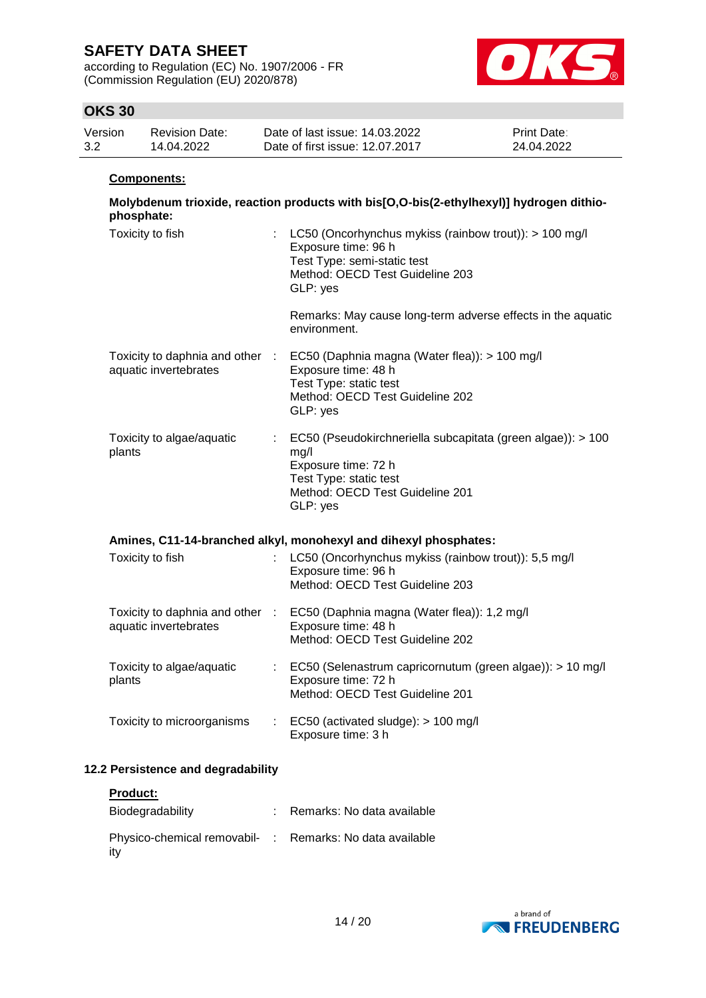according to Regulation (EC) No. 1907/2006 - FR (Commission Regulation (EU) 2020/878)



# **OKS 30**

| Version | <b>Revision Date:</b> | Date of last issue: 14.03.2022  | <b>Print Date:</b> |
|---------|-----------------------|---------------------------------|--------------------|
| 3.2     | 14.04.2022            | Date of first issue: 12.07.2017 | 24.04.2022         |

#### **Components:**

| Molybdenum trioxide, reaction products with bis[O,O-bis(2-ethylhexyl)] hydrogen dithio-<br>phosphate: |                                                                                                                                                                       |  |  |  |
|-------------------------------------------------------------------------------------------------------|-----------------------------------------------------------------------------------------------------------------------------------------------------------------------|--|--|--|
| Toxicity to fish                                                                                      | : LC50 (Oncorhynchus mykiss (rainbow trout)): > 100 mg/l<br>Exposure time: 96 h<br>Test Type: semi-static test<br>Method: OECD Test Guideline 203<br>GLP: yes         |  |  |  |
|                                                                                                       | Remarks: May cause long-term adverse effects in the aquatic<br>environment.                                                                                           |  |  |  |
| Toxicity to daphnia and other :<br>aquatic invertebrates                                              | EC50 (Daphnia magna (Water flea)): > 100 mg/l<br>Exposure time: 48 h<br>Test Type: static test<br>Method: OECD Test Guideline 202<br>GLP: yes                         |  |  |  |
| Toxicity to algae/aquatic<br>plants                                                                   | : EC50 (Pseudokirchneriella subcapitata (green algae)): > 100<br>mg/l<br>Exposure time: 72 h<br>Test Type: static test<br>Method: OECD Test Guideline 201<br>GLP: yes |  |  |  |
| Amines, C11-14-branched alkyl, monohexyl and dihexyl phosphates:                                      |                                                                                                                                                                       |  |  |  |
| Toxicity to fish                                                                                      | LC50 (Oncorhynchus mykiss (rainbow trout)): 5,5 mg/l<br>Exposure time: 96 h<br>Method: OECD Test Guideline 203                                                        |  |  |  |
| Toxicity to daphnia and other :<br>aquatic invertebrates                                              | EC50 (Daphnia magna (Water flea)): 1,2 mg/l<br>Exposure time: 48 h<br>Method: OECD Test Guideline 202                                                                 |  |  |  |
| Toxicity to algae/aquatic<br>plants                                                                   | : EC50 (Selenastrum capricornutum (green algae)): > 10 mg/l<br>Exposure time: 72 h<br>Method: OECD Test Guideline 201                                                 |  |  |  |
| Toxicity to microorganisms                                                                            | $\therefore$ EC50 (activated sludge): > 100 mg/l<br>Exposure time: 3 h                                                                                                |  |  |  |

## **12.2 Persistence and degradability**

| <b>Product:</b>                                                 |                              |
|-----------------------------------------------------------------|------------------------------|
| Biodegradability                                                | : Remarks: No data available |
| Physico-chemical removabil- : Remarks: No data available<br>ity |                              |

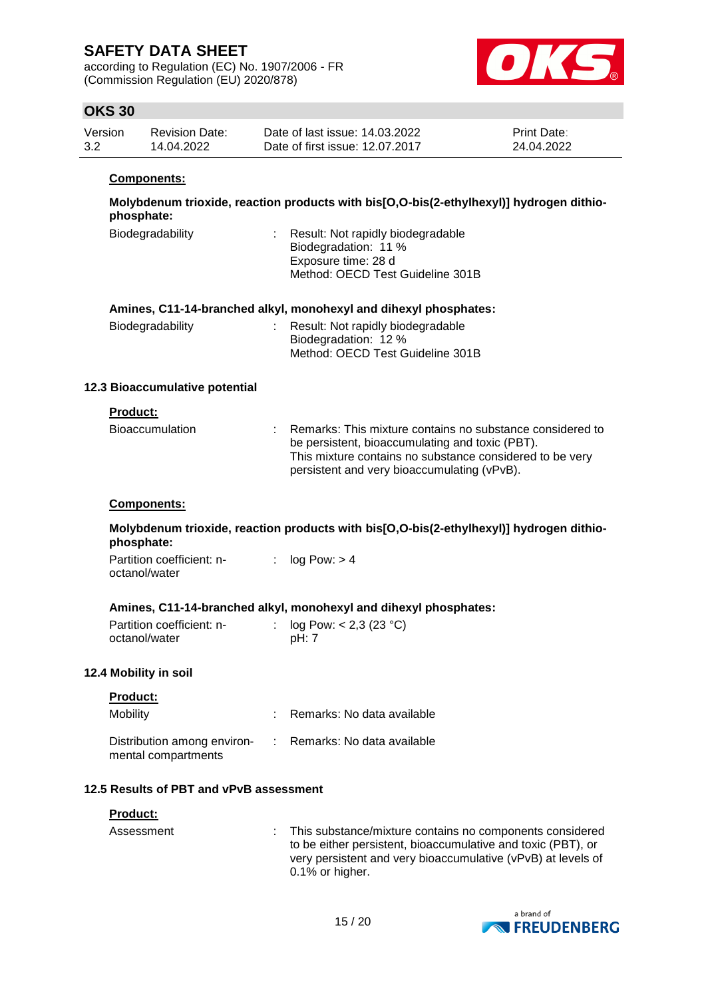according to Regulation (EC) No. 1907/2006 - FR (Commission Regulation (EU) 2020/878)



## **OKS 30**

| Version | <b>Revision Date:</b> | Date of last issue: 14.03.2022  | <b>Print Date:</b> |
|---------|-----------------------|---------------------------------|--------------------|
| 3.2     | 14.04.2022            | Date of first issue: 12.07.2017 | 24.04.2022         |

#### **Components:**

**Molybdenum trioxide, reaction products with bis[O,O-bis(2-ethylhexyl)] hydrogen dithiophosphate:**

| Biodegradability | : Result: Not rapidly biodegradable<br>Biodegradation: 11 %<br>Exposure time: 28 d |
|------------------|------------------------------------------------------------------------------------|
|                  |                                                                                    |
|                  | Method: OECD Test Guideline 301B                                                   |

### **Amines, C11-14-branched alkyl, monohexyl and dihexyl phosphates:**

| Biodegradability | : Result: Not rapidly biodegradable |
|------------------|-------------------------------------|
|                  | Biodegradation: 12 %                |
|                  | Method: OECD Test Guideline 301B    |

### **12.3 Bioaccumulative potential**

### **Product:**

| <b>Bioaccumulation</b> | Remarks: This mixture contains no substance considered to<br>be persistent, bioaccumulating and toxic (PBT).<br>This mixture contains no substance considered to be very<br>persistent and very bioaccumulating (vPvB). |
|------------------------|-------------------------------------------------------------------------------------------------------------------------------------------------------------------------------------------------------------------------|
|                        |                                                                                                                                                                                                                         |

#### **Components:**

**Molybdenum trioxide, reaction products with bis[O,O-bis(2-ethylhexyl)] hydrogen dithiophosphate:**

Partition coefficient: noctanol/water :  $log Pow: > 4$ 

### **Amines, C11-14-branched alkyl, monohexyl and dihexyl phosphates:**

| Partition coefficient: n- | : $log Pow: < 2,3 (23 °C)$ |
|---------------------------|----------------------------|
| octanol/water             | pH: 7                      |

### **12.4 Mobility in soil**

| <b>Product:</b>                                    |                              |
|----------------------------------------------------|------------------------------|
| Mobility                                           | Remarks: No data available   |
| Distribution among environ-<br>mental compartments | : Remarks: No data available |

### **12.5 Results of PBT and vPvB assessment**

| <b>Product:</b> |                                                                                                                                                                                                                  |
|-----------------|------------------------------------------------------------------------------------------------------------------------------------------------------------------------------------------------------------------|
| Assessment      | : This substance/mixture contains no components considered<br>to be either persistent, bioaccumulative and toxic (PBT), or<br>very persistent and very bioaccumulative (vPvB) at levels of<br>$0.1\%$ or higher. |

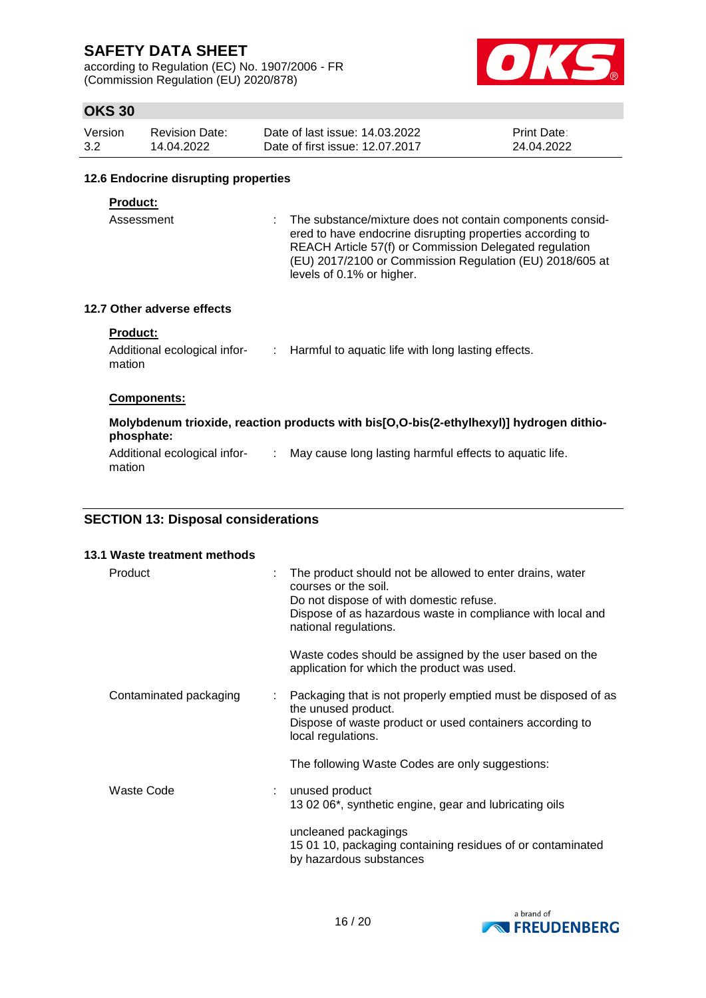according to Regulation (EC) No. 1907/2006 - FR (Commission Regulation (EU) 2020/878)



# **OKS 30**

| Version | <b>Revision Date:</b> | Date of last issue: 14.03.2022  | <b>Print Date:</b> |
|---------|-----------------------|---------------------------------|--------------------|
| 3.2     | 14.04.2022            | Date of first issue: 12.07.2017 | 24.04.2022         |

#### **12.6 Endocrine disrupting properties**

#### **Product:**

Assessment : The substance/mixture does not contain components considered to have endocrine disrupting properties according to REACH Article 57(f) or Commission Delegated regulation (EU) 2017/2100 or Commission Regulation (EU) 2018/605 at levels of 0.1% or higher.

### **12.7 Other adverse effects**

#### **Product:**

| Additional ecological infor- | Harmful to aquatic life with long lasting effects. |
|------------------------------|----------------------------------------------------|
| mation                       |                                                    |

#### **Components:**

# **Molybdenum trioxide, reaction products with bis[O,O-bis(2-ethylhexyl)] hydrogen dithiophosphate:**

Additional ecological infor- : May cause long lasting harmful effects to aquatic life. mation

## **SECTION 13: Disposal considerations**

| 13.1 Waste treatment methods |  |                                                                                                                                                                                                                    |
|------------------------------|--|--------------------------------------------------------------------------------------------------------------------------------------------------------------------------------------------------------------------|
| Product                      |  | The product should not be allowed to enter drains, water<br>courses or the soil.<br>Do not dispose of with domestic refuse.<br>Dispose of as hazardous waste in compliance with local and<br>national regulations. |
|                              |  | Waste codes should be assigned by the user based on the<br>application for which the product was used.                                                                                                             |
| Contaminated packaging       |  | Packaging that is not properly emptied must be disposed of as<br>the unused product.<br>Dispose of waste product or used containers according to<br>local regulations.                                             |
|                              |  | The following Waste Codes are only suggestions:                                                                                                                                                                    |
| <b>Waste Code</b>            |  | unused product<br>13 02 06*, synthetic engine, gear and lubricating oils                                                                                                                                           |
|                              |  | uncleaned packagings<br>15 01 10, packaging containing residues of or contaminated<br>by hazardous substances                                                                                                      |

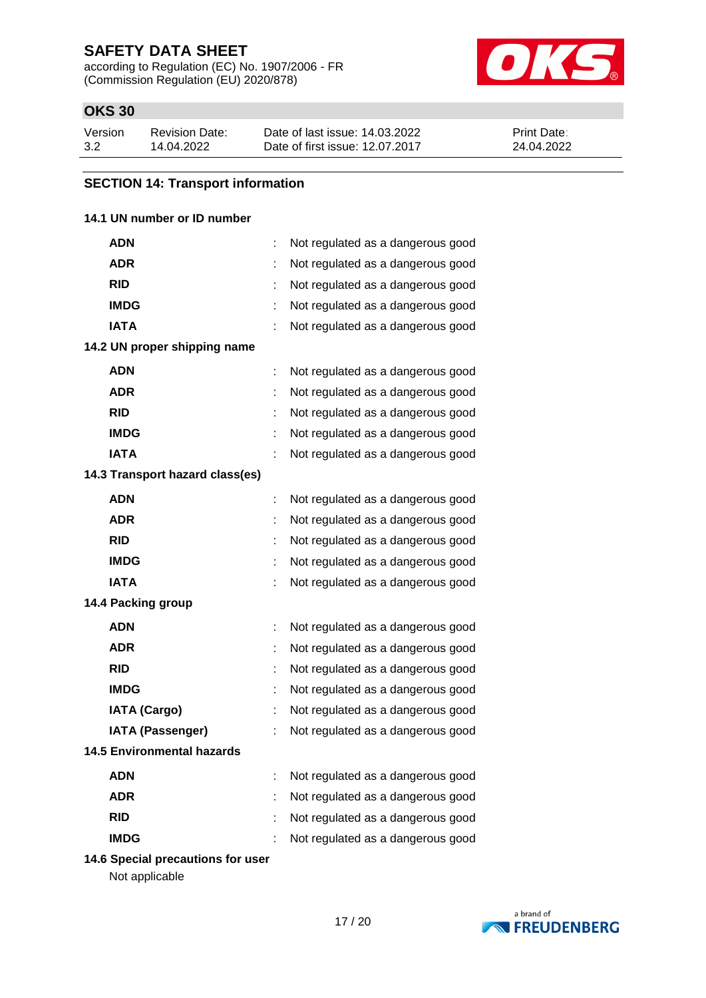according to Regulation (EC) No. 1907/2006 - FR (Commission Regulation (EU) 2020/878)



# **OKS 30**

| Version | Revision Date: | Date of last issue: 14.03.2022  | <b>Print Date:</b> |
|---------|----------------|---------------------------------|--------------------|
| 3.2     | 14.04.2022     | Date of first issue: 12.07.2017 | 24.04.2022         |

## **SECTION 14: Transport information**

## **14.1 UN number or ID number**

| ADN                               | t | Not regulated as a dangerous good |
|-----------------------------------|---|-----------------------------------|
| <b>ADR</b>                        |   | Not regulated as a dangerous good |
| <b>RID</b>                        |   | Not regulated as a dangerous good |
| <b>IMDG</b>                       | t | Not regulated as a dangerous good |
| <b>IATA</b>                       |   | Not regulated as a dangerous good |
| 14.2 UN proper shipping name      |   |                                   |
| <b>ADN</b>                        |   | Not regulated as a dangerous good |
| <b>ADR</b>                        |   | Not regulated as a dangerous good |
| <b>RID</b>                        |   | Not regulated as a dangerous good |
| <b>IMDG</b>                       |   | Not regulated as a dangerous good |
| <b>IATA</b>                       |   | Not regulated as a dangerous good |
| 14.3 Transport hazard class(es)   |   |                                   |
| <b>ADN</b>                        | t | Not regulated as a dangerous good |
| <b>ADR</b>                        | t | Not regulated as a dangerous good |
| <b>RID</b>                        | t | Not regulated as a dangerous good |
| <b>IMDG</b>                       |   | Not regulated as a dangerous good |
| <b>IATA</b>                       |   | Not regulated as a dangerous good |
| 14.4 Packing group                |   |                                   |
| <b>ADN</b>                        | t | Not regulated as a dangerous good |
| <b>ADR</b>                        |   | Not regulated as a dangerous good |
| <b>RID</b>                        |   | Not regulated as a dangerous good |
| <b>IMDG</b>                       | t | Not regulated as a dangerous good |
| <b>IATA (Cargo)</b>               |   | Not regulated as a dangerous good |
| <b>IATA (Passenger)</b>           |   | Not regulated as a dangerous good |
| <b>14.5 Environmental hazards</b> |   |                                   |
| <b>ADN</b>                        |   | Not regulated as a dangerous good |
| <b>ADR</b>                        | t | Not regulated as a dangerous good |
| <b>RID</b>                        |   | Not regulated as a dangerous good |
| <b>IMDG</b>                       |   | Not regulated as a dangerous good |

**14.6 Special precautions for user**

Not applicable

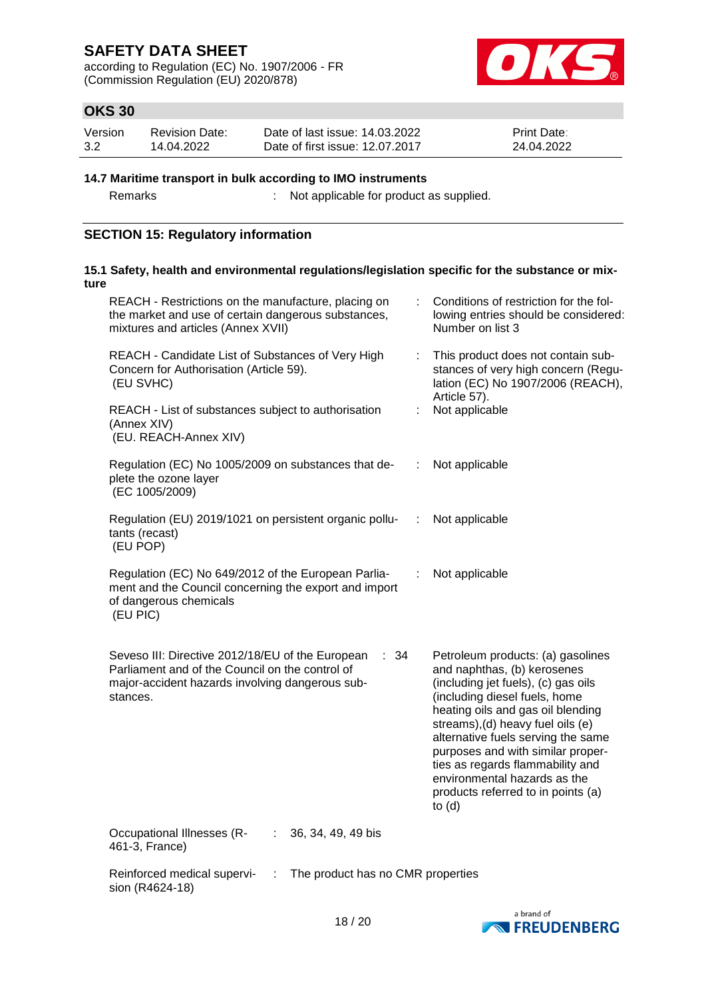according to Regulation (EC) No. 1907/2006 - FR (Commission Regulation (EU) 2020/878)



# **OKS 30**

| Version | <b>Revision Date:</b> | Date of last issue: 14.03.2022  | <b>Print Date:</b> |
|---------|-----------------------|---------------------------------|--------------------|
| 3.2     | 14.04.2022            | Date of first issue: 12.07.2017 | 24.04.2022         |

#### **14.7 Maritime transport in bulk according to IMO instruments**

Remarks : Not applicable for product as supplied.

## **SECTION 15: Regulatory information**

| ture | 15.1 Safety, health and environmental regulations/legislation specific for the substance or mix-                                                                           |   |                                                                                                                                                                                                                                                                                                                                                                                                                     |
|------|----------------------------------------------------------------------------------------------------------------------------------------------------------------------------|---|---------------------------------------------------------------------------------------------------------------------------------------------------------------------------------------------------------------------------------------------------------------------------------------------------------------------------------------------------------------------------------------------------------------------|
|      | REACH - Restrictions on the manufacture, placing on<br>the market and use of certain dangerous substances,<br>mixtures and articles (Annex XVII)                           | ÷ | Conditions of restriction for the fol-<br>lowing entries should be considered:<br>Number on list 3                                                                                                                                                                                                                                                                                                                  |
|      | REACH - Candidate List of Substances of Very High<br>Concern for Authorisation (Article 59).<br>(EU SVHC)                                                                  | ÷ | This product does not contain sub-<br>stances of very high concern (Regu-<br>lation (EC) No 1907/2006 (REACH),                                                                                                                                                                                                                                                                                                      |
|      | REACH - List of substances subject to authorisation<br>(Annex XIV)<br>(EU. REACH-Annex XIV)                                                                                | ÷ | Article 57).<br>Not applicable                                                                                                                                                                                                                                                                                                                                                                                      |
|      | Regulation (EC) No 1005/2009 on substances that de-<br>plete the ozone layer<br>(EC 1005/2009)                                                                             | ÷ | Not applicable                                                                                                                                                                                                                                                                                                                                                                                                      |
|      | Regulation (EU) 2019/1021 on persistent organic pollu-<br>tants (recast)<br>(EU POP)                                                                                       | ÷ | Not applicable                                                                                                                                                                                                                                                                                                                                                                                                      |
|      | Regulation (EC) No 649/2012 of the European Parlia-<br>ment and the Council concerning the export and import<br>of dangerous chemicals<br>(EU PIC)                         | ÷ | Not applicable                                                                                                                                                                                                                                                                                                                                                                                                      |
|      | Seveso III: Directive 2012/18/EU of the European<br>: 34<br>Parliament and of the Council on the control of<br>major-accident hazards involving dangerous sub-<br>stances. |   | Petroleum products: (a) gasolines<br>and naphthas, (b) kerosenes<br>(including jet fuels), (c) gas oils<br>(including diesel fuels, home<br>heating oils and gas oil blending<br>streams), (d) heavy fuel oils (e)<br>alternative fuels serving the same<br>purposes and with similar proper-<br>ties as regards flammability and<br>environmental hazards as the<br>products referred to in points (a)<br>to $(d)$ |
|      | Occupational Illnesses (R-<br>36, 34, 49, 49 bis<br>461-3, France)                                                                                                         |   |                                                                                                                                                                                                                                                                                                                                                                                                                     |
|      | Reinforced medical supervi-<br>The product has no CMR properties<br>sion (R4624-18)                                                                                        |   |                                                                                                                                                                                                                                                                                                                                                                                                                     |

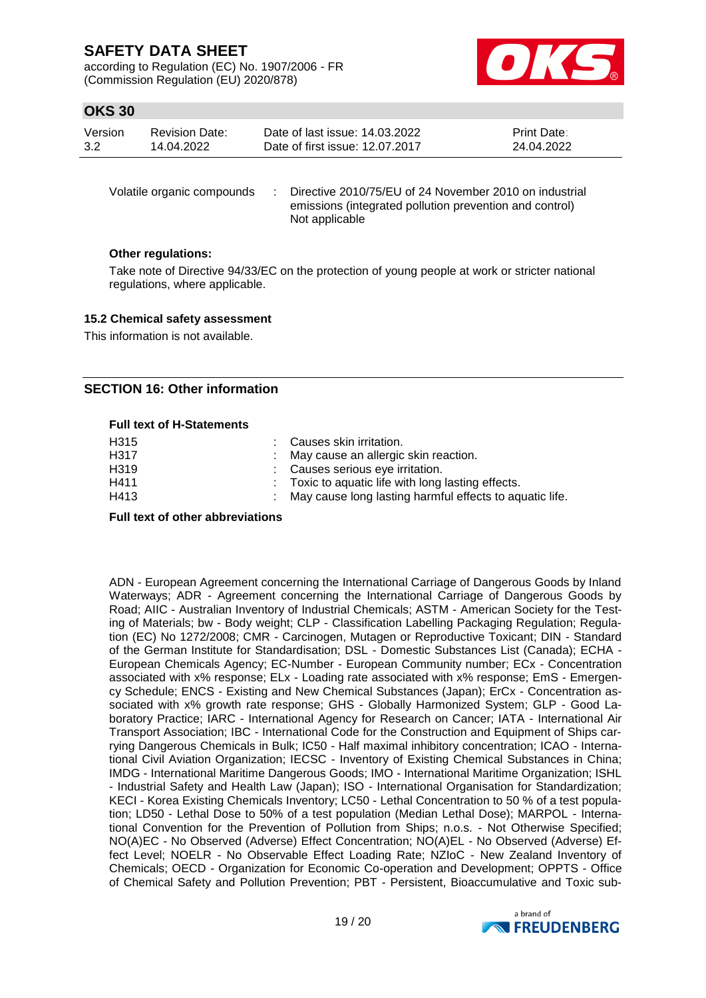according to Regulation (EC) No. 1907/2006 - FR (Commission Regulation (EU) 2020/878)



## **OKS 30**

| Version | Revision Date: | Date of last issue: 14.03.2022  | <b>Print Date:</b> |
|---------|----------------|---------------------------------|--------------------|
| 3.2     | 14.04.2022     | Date of first issue: 12.07.2017 | 24.04.2022         |

Volatile organic compounds : Directive 2010/75/EU of 24 November 2010 on industrial emissions (integrated pollution prevention and control) Not applicable

### **Other regulations:**

Take note of Directive 94/33/EC on the protection of young people at work or stricter national regulations, where applicable.

#### **15.2 Chemical safety assessment**

This information is not available.

### **SECTION 16: Other information**

#### **Full text of H-Statements**

| H315 | : Causes skin irritation.                                 |
|------|-----------------------------------------------------------|
| H317 | : May cause an allergic skin reaction.                    |
| H319 | : Causes serious eye irritation.                          |
| H411 | : Toxic to aquatic life with long lasting effects.        |
| H413 | : May cause long lasting harmful effects to aquatic life. |
|      |                                                           |

#### **Full text of other abbreviations**

ADN - European Agreement concerning the International Carriage of Dangerous Goods by Inland Waterways; ADR - Agreement concerning the International Carriage of Dangerous Goods by Road; AIIC - Australian Inventory of Industrial Chemicals; ASTM - American Society for the Testing of Materials; bw - Body weight; CLP - Classification Labelling Packaging Regulation; Regulation (EC) No 1272/2008; CMR - Carcinogen, Mutagen or Reproductive Toxicant; DIN - Standard of the German Institute for Standardisation; DSL - Domestic Substances List (Canada); ECHA - European Chemicals Agency; EC-Number - European Community number; ECx - Concentration associated with x% response; ELx - Loading rate associated with x% response; EmS - Emergency Schedule; ENCS - Existing and New Chemical Substances (Japan); ErCx - Concentration associated with x% growth rate response; GHS - Globally Harmonized System; GLP - Good Laboratory Practice; IARC - International Agency for Research on Cancer; IATA - International Air Transport Association; IBC - International Code for the Construction and Equipment of Ships carrying Dangerous Chemicals in Bulk; IC50 - Half maximal inhibitory concentration; ICAO - International Civil Aviation Organization; IECSC - Inventory of Existing Chemical Substances in China; IMDG - International Maritime Dangerous Goods; IMO - International Maritime Organization; ISHL - Industrial Safety and Health Law (Japan); ISO - International Organisation for Standardization; KECI - Korea Existing Chemicals Inventory; LC50 - Lethal Concentration to 50 % of a test population; LD50 - Lethal Dose to 50% of a test population (Median Lethal Dose); MARPOL - International Convention for the Prevention of Pollution from Ships; n.o.s. - Not Otherwise Specified; NO(A)EC - No Observed (Adverse) Effect Concentration; NO(A)EL - No Observed (Adverse) Effect Level; NOELR - No Observable Effect Loading Rate; NZIoC - New Zealand Inventory of Chemicals; OECD - Organization for Economic Co-operation and Development; OPPTS - Office of Chemical Safety and Pollution Prevention; PBT - Persistent, Bioaccumulative and Toxic sub-